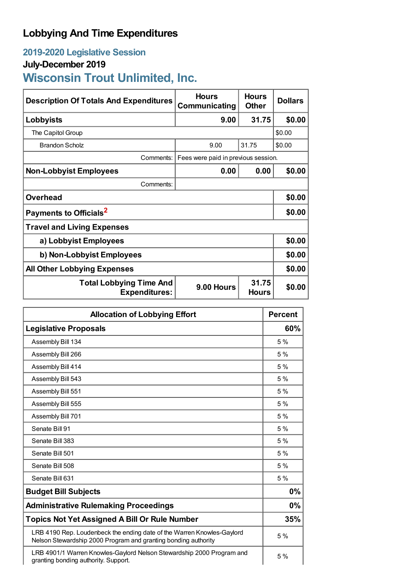## **Lobbying And Time Expenditures**

## **2019-2020 Legislative Session**

## **July-December 2019**

# **Wisconsin Trout Unlimited, Inc.**

| <b>Description Of Totals And Expenditures</b>                                                 | <b>Hours</b><br><b>Communicating</b> | <b>Hours</b><br><b>Other</b> | <b>Dollars</b> |
|-----------------------------------------------------------------------------------------------|--------------------------------------|------------------------------|----------------|
| Lobbyists                                                                                     | 9.00                                 | 31.75                        | \$0.00         |
| The Capitol Group                                                                             |                                      |                              | \$0.00         |
| <b>Brandon Scholz</b>                                                                         | 9.00                                 | 31.75                        | \$0.00         |
| Comments:                                                                                     | Fees were paid in previous session.  |                              |                |
| <b>Non-Lobbyist Employees</b>                                                                 | 0.00                                 | 0.00                         | \$0.00         |
| Comments:                                                                                     |                                      |                              |                |
| <b>Overhead</b>                                                                               |                                      |                              | \$0.00         |
| Payments to Officials <sup>2</sup>                                                            |                                      |                              | \$0.00         |
| <b>Travel and Living Expenses</b>                                                             |                                      |                              |                |
| a) Lobbyist Employees                                                                         |                                      |                              | \$0.00         |
| b) Non-Lobbyist Employees                                                                     |                                      |                              | \$0.00         |
| <b>All Other Lobbying Expenses</b>                                                            |                                      |                              | \$0.00         |
| 31.75<br><b>Total Lobbying Time And</b><br>9.00 Hours<br><b>Expenditures:</b><br><b>Hours</b> |                                      | \$0.00                       |                |

| <b>Allocation of Lobbying Effort</b>                                                                                                     |     |
|------------------------------------------------------------------------------------------------------------------------------------------|-----|
| <b>Legislative Proposals</b>                                                                                                             | 60% |
| Assembly Bill 134                                                                                                                        | 5 % |
| Assembly Bill 266                                                                                                                        | 5%  |
| Assembly Bill 414                                                                                                                        | 5%  |
| Assembly Bill 543                                                                                                                        | 5%  |
| Assembly Bill 551                                                                                                                        | 5%  |
| Assembly Bill 555                                                                                                                        | 5 % |
| Assembly Bill 701                                                                                                                        | 5%  |
| Senate Bill 91                                                                                                                           | 5%  |
| Senate Bill 383                                                                                                                          | 5%  |
| Senate Bill 501                                                                                                                          | 5%  |
| Senate Bill 508                                                                                                                          | 5%  |
| Senate Bill 631                                                                                                                          | 5%  |
| <b>Budget Bill Subjects</b>                                                                                                              | 0%  |
| <b>Administrative Rulemaking Proceedings</b>                                                                                             | 0%  |
| <b>Topics Not Yet Assigned A Bill Or Rule Number</b>                                                                                     |     |
| LRB 4190 Rep. Loudenbeck the ending date of the Warren Knowles-Gaylord<br>Nelson Stewardship 2000 Program and granting bonding authority | 5%  |
| LRB 4901/1 Warren Knowles-Gaylord Nelson Stewardship 2000 Program and<br>granting bonding authority. Support.                            | 5%  |